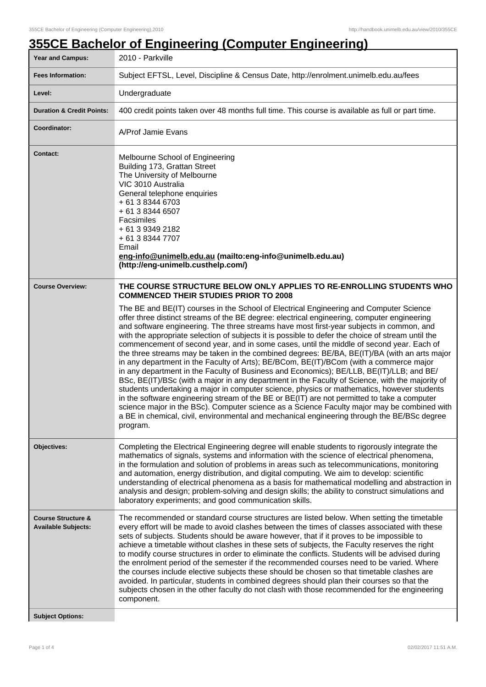## **355CE Bachelor of Engineering (Computer Engineering)**

| Year and Campus:                                            | 2010 - Parkville                                                                                                                                                                                                                                                                                                                                                                                                                                                                                                                                                                                                                                                                                                                                                                                                                                                                                                                                                                                                                                                                                                                                                                                                                                                                   |
|-------------------------------------------------------------|------------------------------------------------------------------------------------------------------------------------------------------------------------------------------------------------------------------------------------------------------------------------------------------------------------------------------------------------------------------------------------------------------------------------------------------------------------------------------------------------------------------------------------------------------------------------------------------------------------------------------------------------------------------------------------------------------------------------------------------------------------------------------------------------------------------------------------------------------------------------------------------------------------------------------------------------------------------------------------------------------------------------------------------------------------------------------------------------------------------------------------------------------------------------------------------------------------------------------------------------------------------------------------|
| <b>Fees Information:</b>                                    | Subject EFTSL, Level, Discipline & Census Date, http://enrolment.unimelb.edu.au/fees                                                                                                                                                                                                                                                                                                                                                                                                                                                                                                                                                                                                                                                                                                                                                                                                                                                                                                                                                                                                                                                                                                                                                                                               |
| Level:                                                      | Undergraduate                                                                                                                                                                                                                                                                                                                                                                                                                                                                                                                                                                                                                                                                                                                                                                                                                                                                                                                                                                                                                                                                                                                                                                                                                                                                      |
| <b>Duration &amp; Credit Points:</b>                        | 400 credit points taken over 48 months full time. This course is available as full or part time.                                                                                                                                                                                                                                                                                                                                                                                                                                                                                                                                                                                                                                                                                                                                                                                                                                                                                                                                                                                                                                                                                                                                                                                   |
| Coordinator:                                                | A/Prof Jamie Evans                                                                                                                                                                                                                                                                                                                                                                                                                                                                                                                                                                                                                                                                                                                                                                                                                                                                                                                                                                                                                                                                                                                                                                                                                                                                 |
| <b>Contact:</b>                                             | Melbourne School of Engineering<br>Building 173, Grattan Street<br>The University of Melbourne<br>VIC 3010 Australia<br>General telephone enquiries<br>+ 61 3 8344 6703<br>+ 61 3 8344 6507<br>Facsimiles<br>+ 61 3 9349 2182<br>+ 61 3 8344 7707<br>Email<br>eng-info@unimelb.edu.au (mailto:eng-info@unimelb.edu.au)<br>(http://eng-unimelb.custhelp.com/)                                                                                                                                                                                                                                                                                                                                                                                                                                                                                                                                                                                                                                                                                                                                                                                                                                                                                                                       |
| <b>Course Overview:</b>                                     | THE COURSE STRUCTURE BELOW ONLY APPLIES TO RE-ENROLLING STUDENTS WHO<br><b>COMMENCED THEIR STUDIES PRIOR TO 2008</b>                                                                                                                                                                                                                                                                                                                                                                                                                                                                                                                                                                                                                                                                                                                                                                                                                                                                                                                                                                                                                                                                                                                                                               |
|                                                             | The BE and BE(IT) courses in the School of Electrical Engineering and Computer Science<br>offer three distinct streams of the BE degree: electrical engineering, computer engineering<br>and software engineering. The three streams have most first-year subjects in common, and<br>with the appropriate selection of subjects it is possible to defer the choice of stream until the<br>commencement of second year, and in some cases, until the middle of second year. Each of<br>the three streams may be taken in the combined degrees: BE/BA, BE(IT)/BA (with an arts major<br>in any department in the Faculty of Arts); BE/BCom, BE(IT)/BCom (with a commerce major<br>in any department in the Faculty of Business and Economics); BE/LLB, BE(IT)/LLB; and BE/<br>BSc, BE(IT)/BSc (with a major in any department in the Faculty of Science, with the majority of<br>students undertaking a major in computer science, physics or mathematics, however students<br>in the software engineering stream of the BE or BE(IT) are not permitted to take a computer<br>science major in the BSc). Computer science as a Science Faculty major may be combined with<br>a BE in chemical, civil, environmental and mechanical engineering through the BE/BSc degree<br>program. |
| <b>Objectives:</b>                                          | Completing the Electrical Engineering degree will enable students to rigorously integrate the<br>mathematics of signals, systems and information with the science of electrical phenomena,<br>in the formulation and solution of problems in areas such as telecommunications, monitoring<br>and automation, energy distribution, and digital computing. We aim to develop: scientific<br>understanding of electrical phenomena as a basis for mathematical modelling and abstraction in<br>analysis and design; problem-solving and design skills; the ability to construct simulations and<br>laboratory experiments; and good communication skills.                                                                                                                                                                                                                                                                                                                                                                                                                                                                                                                                                                                                                             |
| <b>Course Structure &amp;</b><br><b>Available Subjects:</b> | The recommended or standard course structures are listed below. When setting the timetable<br>every effort will be made to avoid clashes between the times of classes associated with these<br>sets of subjects. Students should be aware however, that if it proves to be impossible to<br>achieve a timetable without clashes in these sets of subjects, the Faculty reserves the right<br>to modify course structures in order to eliminate the conflicts. Students will be advised during<br>the enrolment period of the semester if the recommended courses need to be varied. Where<br>the courses include elective subjects these should be chosen so that timetable clashes are<br>avoided. In particular, students in combined degrees should plan their courses so that the<br>subjects chosen in the other faculty do not clash with those recommended for the engineering<br>component.                                                                                                                                                                                                                                                                                                                                                                                |
| <b>Subject Options:</b>                                     |                                                                                                                                                                                                                                                                                                                                                                                                                                                                                                                                                                                                                                                                                                                                                                                                                                                                                                                                                                                                                                                                                                                                                                                                                                                                                    |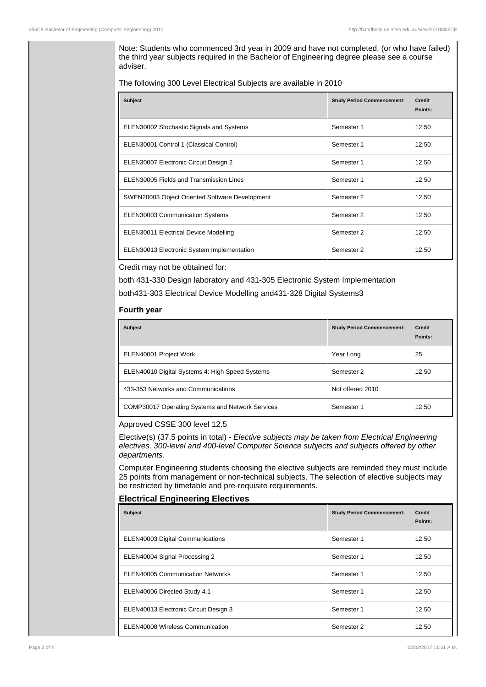Note: Students who commenced 3rd year in 2009 and have not completed, (or who have failed) the third year subjects required in the Bachelor of Engineering degree please see a course adviser.

The following 300 Level Electrical Subjects are available in 2010

| <b>Subject</b>                                 | <b>Study Period Commencement:</b> | <b>Credit</b><br>Points: |
|------------------------------------------------|-----------------------------------|--------------------------|
| ELEN30002 Stochastic Signals and Systems       | Semester 1                        | 12.50                    |
| ELEN30001 Control 1 (Classical Control)        | Semester 1                        | 12.50                    |
| ELEN30007 Electronic Circuit Design 2          | Semester 1                        | 12.50                    |
| ELEN30005 Fields and Transmission Lines        | Semester 1                        | 12.50                    |
| SWEN20003 Object Oriented Software Development | Semester 2                        | 12.50                    |
| <b>ELEN30003 Communication Systems</b>         | Semester 2                        | 12.50                    |
| ELEN30011 Electrical Device Modelling          | Semester 2                        | 12.50                    |
| ELEN30013 Electronic System Implementation     | Semester 2                        | 12.50                    |

Credit may not be obtained for:

both 431-330 Design laboratory and 431-305 Electronic System Implementation both431-303 Electrical Device Modelling and431-328 Digital Systems3

## **Fourth year**

| <b>Subject</b>                                          | <b>Study Period Commencement:</b> | <b>Credit</b><br>Points: |
|---------------------------------------------------------|-----------------------------------|--------------------------|
| ELEN40001 Project Work                                  | Year Long                         | 25                       |
| ELEN40010 Digital Systems 4: High Speed Systems         | Semester 2                        | 12.50                    |
| 433-353 Networks and Communications                     | Not offered 2010                  |                          |
| <b>COMP30017 Operating Systems and Network Services</b> | Semester 1                        | 12.50                    |

## Approved CSSE 300 level 12.5

Elective(s) (37.5 points in total) - Elective subjects may be taken from Electrical Engineering electives, 300-level and 400-level Computer Science subjects and subjects offered by other departments.

Computer Engineering students choosing the elective subjects are reminded they must include 25 points from management or non-technical subjects. The selection of elective subjects may be restricted by timetable and pre-requisite requirements.

## **Electrical Engineering Electives**

| <b>Subject</b>                        | <b>Study Period Commencement:</b> | <b>Credit</b><br>Points: |
|---------------------------------------|-----------------------------------|--------------------------|
| ELEN40003 Digital Communications      | Semester 1                        | 12.50                    |
| ELEN40004 Signal Processing 2         | Semester 1                        | 12.50                    |
| ELEN40005 Communication Networks      | Semester 1                        | 12.50                    |
| ELEN40006 Directed Study 4.1          | Semester 1                        | 12.50                    |
| ELEN40013 Electronic Circuit Design 3 | Semester 1                        | 12.50                    |
| ELEN40008 Wireless Communication      | Semester 2                        | 12.50                    |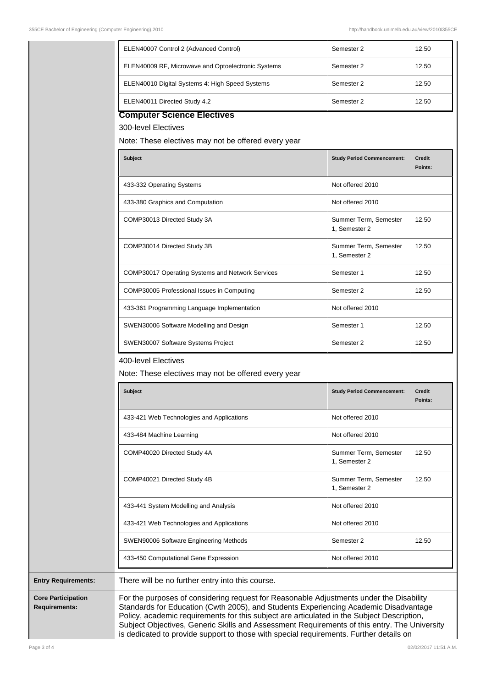|                           | ELEN40007 Control 2 (Advanced Control)                                                                                                                                                                                                                                        | Semester 2                             | 12.50                    |
|---------------------------|-------------------------------------------------------------------------------------------------------------------------------------------------------------------------------------------------------------------------------------------------------------------------------|----------------------------------------|--------------------------|
|                           | ELEN40009 RF, Microwave and Optoelectronic Systems                                                                                                                                                                                                                            | Semester 2                             | 12.50                    |
|                           | ELEN40010 Digital Systems 4: High Speed Systems                                                                                                                                                                                                                               | Semester 2                             | 12.50                    |
|                           | ELEN40011 Directed Study 4.2                                                                                                                                                                                                                                                  | Semester 2                             | 12.50                    |
|                           | <b>Computer Science Electives</b>                                                                                                                                                                                                                                             |                                        |                          |
|                           | 300-level Electives                                                                                                                                                                                                                                                           |                                        |                          |
|                           | Note: These electives may not be offered every year                                                                                                                                                                                                                           |                                        |                          |
|                           | <b>Subject</b>                                                                                                                                                                                                                                                                | <b>Study Period Commencement:</b>      | <b>Credit</b><br>Points: |
|                           | 433-332 Operating Systems                                                                                                                                                                                                                                                     | Not offered 2010                       |                          |
|                           | 433-380 Graphics and Computation                                                                                                                                                                                                                                              | Not offered 2010                       |                          |
|                           | COMP30013 Directed Study 3A                                                                                                                                                                                                                                                   | Summer Term, Semester<br>1, Semester 2 | 12.50                    |
|                           | COMP30014 Directed Study 3B                                                                                                                                                                                                                                                   | Summer Term, Semester<br>1, Semester 2 | 12.50                    |
|                           | COMP30017 Operating Systems and Network Services                                                                                                                                                                                                                              | Semester 1                             | 12.50                    |
|                           | COMP30005 Professional Issues in Computing                                                                                                                                                                                                                                    | Semester 2                             | 12.50                    |
|                           | 433-361 Programming Language Implementation                                                                                                                                                                                                                                   | Not offered 2010                       |                          |
|                           | SWEN30006 Software Modelling and Design                                                                                                                                                                                                                                       | Semester 1                             | 12.50                    |
|                           | SWEN30007 Software Systems Project                                                                                                                                                                                                                                            | Semester 2                             | 12.50                    |
|                           | 400-level Electives<br>Note: These electives may not be offered every year                                                                                                                                                                                                    |                                        |                          |
|                           | <b>Subject</b>                                                                                                                                                                                                                                                                | <b>Study Period Commencement:</b>      | Credit<br>Points:        |
|                           | 433-421 Web Technologies and Applications                                                                                                                                                                                                                                     | Not offered 2010                       |                          |
|                           | 433-484 Machine Learning                                                                                                                                                                                                                                                      | Not offered 2010                       |                          |
|                           | COMP40020 Directed Study 4A                                                                                                                                                                                                                                                   | Summer Term, Semester<br>1, Semester 2 | 12.50                    |
|                           | COMP40021 Directed Study 4B                                                                                                                                                                                                                                                   | Summer Term, Semester<br>1, Semester 2 | 12.50                    |
|                           | 433-441 System Modelling and Analysis                                                                                                                                                                                                                                         | Not offered 2010                       |                          |
|                           | 433-421 Web Technologies and Applications                                                                                                                                                                                                                                     | Not offered 2010                       |                          |
|                           | SWEN90006 Software Engineering Methods                                                                                                                                                                                                                                        | Semester 2                             | 12.50                    |
|                           | 433-450 Computational Gene Expression                                                                                                                                                                                                                                         | Not offered 2010                       |                          |
|                           | There will be no further entry into this course.                                                                                                                                                                                                                              |                                        |                          |
| <b>Core Participation</b> | For the purposes of considering request for Reasonable Adjustments under the Disability<br>Standards for Education (Cwth 2005), and Students Experiencing Academic Disadvantage<br>Policy, academic requirements for this subject are articulated in the Subject Description, |                                        |                          |

Subject Objectives, Generic Skills and Assessment Requirements of this entry. The University is dedicated to provide support to those with special requirements. Further details on